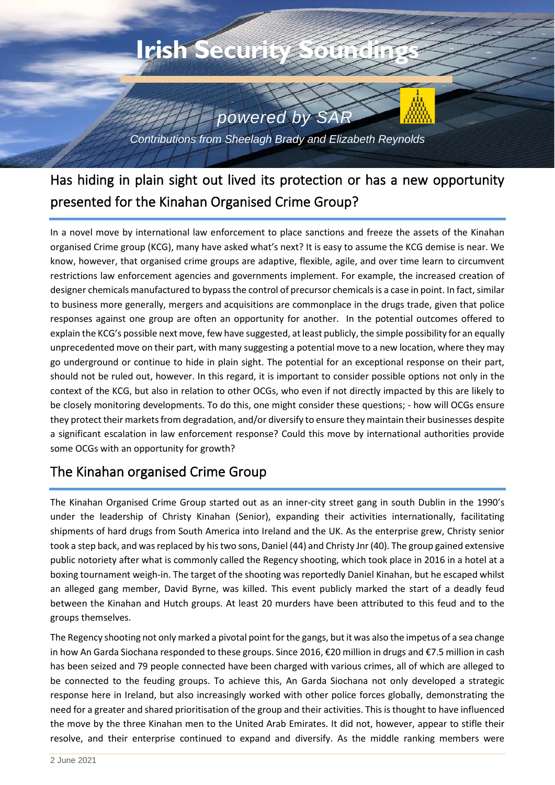

Has hiding in plain sight out lived its protection or has a new opportunity presented for the Kinahan Organised Crime Group?

In a novel move by international law enforcement to place sanctions and freeze the assets of the Kinahan organised Crime group (KCG), many have asked what's next? It is easy to assume the KCG demise is near. We know, however, that organised crime groups are adaptive, flexible, agile, and over time learn to circumvent restrictions law enforcement agencies and governments implement. For example, the increased creation of designer chemicals manufactured to bypass the control of precursor chemicals is a case in point. In fact, similar to business more generally, mergers and acquisitions are commonplace in the drugs trade, given that police responses against one group are often an opportunity for another. In the potential outcomes offered to explain the KCG's possible next move, few have suggested, at least publicly, the simple possibility for an equally unprecedented move on their part, with many suggesting a potential move to a new location, where they may go underground or continue to hide in plain sight. The potential for an exceptional response on their part, should not be ruled out, however. In this regard, it is important to consider possible options not only in the context of the KCG, but also in relation to other OCGs, who even if not directly impacted by this are likely to be closely monitoring developments. To do this, one might consider these questions; - how will OCGs ensure they protect their markets from degradation, and/or diversify to ensure they maintain their businesses despite a significant escalation in law enforcement response? Could this move by international authorities provide some OCGs with an opportunity for growth?

## The Kinahan organised Crime Group

The Kinahan Organised Crime Group started out as an inner-city street gang in south Dublin in the 1990's under the leadership of Christy Kinahan (Senior), expanding their activities internationally, facilitating shipments of hard drugs from South America into Ireland and the UK. As the enterprise grew, Christy senior took a step back, and was replaced by his two sons, Daniel (44) and Christy Jnr (40). The group gained extensive public notoriety after what is commonly called the Regency shooting, which took place in 2016 in a hotel at a boxing tournament weigh-in. The target of the shooting was reportedly Daniel Kinahan, but he escaped whilst an alleged gang member, David Byrne, was killed. This event publicly marked the start of a deadly feud between the Kinahan and Hutch groups. At least 20 murders have been attributed to this feud and to the groups themselves.

The Regency shooting not only marked a pivotal point for the gangs, but it was also the impetus of a sea change in how An Garda Siochana responded to these groups. Since 2016, €20 million in drugs and €7.5 million in cash has been seized and 79 people connected have been charged with various crimes, all of which are alleged to be connected to the feuding groups. To achieve this, An Garda Siochana not only developed a strategic response here in Ireland, but also increasingly worked with other police forces globally, demonstrating the need for a greater and shared prioritisation of the group and their activities. This is thought to have influenced the move by the three Kinahan men to the United Arab Emirates. It did not, however, appear to stifle their resolve, and their enterprise continued to expand and diversify. As the middle ranking members were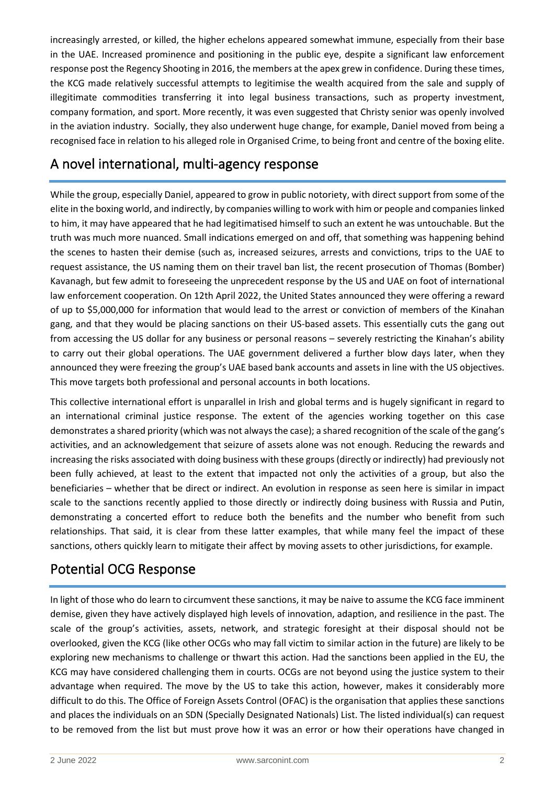increasingly arrested, or killed, the higher echelons appeared somewhat immune, especially from their base in the UAE. Increased prominence and positioning in the public eye, despite a significant law enforcement response post the Regency Shooting in 2016, the members at the apex grew in confidence. During these times, the KCG made relatively successful attempts to legitimise the wealth acquired from the sale and supply of illegitimate commodities transferring it into legal business transactions, such as property investment, company formation, and sport. More recently, it was even suggested that Christy senior was openly involved in the aviation industry. Socially, they also underwent huge change, for example, Daniel moved from being a recognised face in relation to his alleged role in Organised Crime, to being front and centre of the boxing elite.

## A novel international, multi-agency response

While the group, especially Daniel, appeared to grow in public notoriety, with direct support from some of the elite in the boxing world, and indirectly, by companies willing to work with him or people and companies linked to him, it may have appeared that he had legitimatised himself to such an extent he was untouchable. But the truth was much more nuanced. Small indications emerged on and off, that something was happening behind the scenes to hasten their demise (such as, increased seizures, arrests and convictions, trips to the UAE to request assistance, the US naming them on their travel ban list, the recent prosecution of Thomas (Bomber) Kavanagh, but few admit to foreseeing the unprecedent response by the US and UAE on foot of international law enforcement cooperation. On 12th April 2022, the United States announced they were offering a reward of up to \$5,000,000 for information that would lead to the arrest or conviction of members of the Kinahan gang, and that they would be placing sanctions on their US-based assets. This essentially cuts the gang out from accessing the US dollar for any business or personal reasons – severely restricting the Kinahan's ability to carry out their global operations. The UAE government delivered a further blow days later, when they announced they were freezing the group's UAE based bank accounts and assets in line with the US objectives. This move targets both professional and personal accounts in both locations.

This collective international effort is unparallel in Irish and global terms and is hugely significant in regard to an international criminal justice response. The extent of the agencies working together on this case demonstrates a shared priority (which was not always the case); a shared recognition of the scale of the gang's activities, and an acknowledgement that seizure of assets alone was not enough. Reducing the rewards and increasing the risks associated with doing business with these groups (directly or indirectly) had previously not been fully achieved, at least to the extent that impacted not only the activities of a group, but also the beneficiaries – whether that be direct or indirect. An evolution in response as seen here is similar in impact scale to the sanctions recently applied to those directly or indirectly doing business with Russia and Putin, demonstrating a concerted effort to reduce both the benefits and the number who benefit from such relationships. That said, it is clear from these latter examples, that while many feel the impact of these sanctions, others quickly learn to mitigate their affect by moving assets to other jurisdictions, for example.

## Potential OCG Response

In light of those who do learn to circumvent these sanctions, it may be naive to assume the KCG face imminent demise, given they have actively displayed high levels of innovation, adaption, and resilience in the past. The scale of the group's activities, assets, network, and strategic foresight at their disposal should not be overlooked, given the KCG (like other OCGs who may fall victim to similar action in the future) are likely to be exploring new mechanisms to challenge or thwart this action. Had the sanctions been applied in the EU, the KCG may have considered challenging them in courts. OCGs are not beyond using the justice system to their advantage when required. The move by the US to take this action, however, makes it considerably more difficult to do this. The Office of Foreign Assets Control (OFAC) is the organisation that applies these sanctions and places the individuals on an SDN (Specially Designated Nationals) List. The listed individual(s) can request to be removed from the list but must prove how it was an error or how their operations have changed in